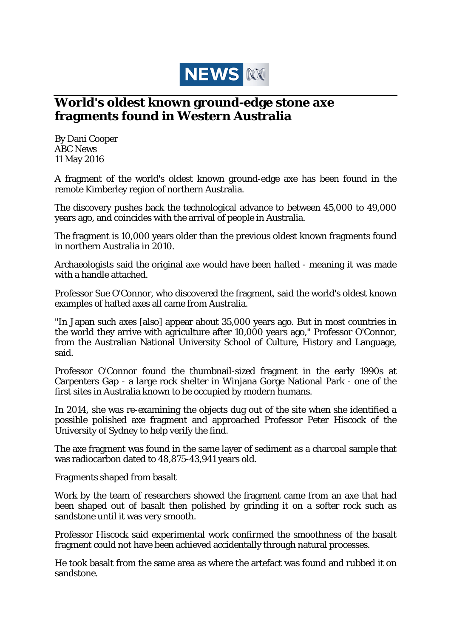

## **World's oldest known ground-edge stone axe fragments found in Western Australia**

By Dani Cooper ABC News 11 May 2016

A fragment of the world's oldest known ground-edge axe has been found in the remote Kimberley region of northern Australia.

The discovery pushes back the technological advance to between 45,000 to 49,000 years ago, and coincides with the arrival of people in Australia.

The fragment is 10,000 years older than the previous oldest known fragments found in northern Australia in 2010.

Archaeologists said the original axe would have been hafted - meaning it was made with a handle attached.

Professor Sue O'Connor, who discovered the fragment, said the world's oldest known examples of hafted axes all came from Australia.

"In Japan such axes [also] appear about 35,000 years ago. But in most countries in the world they arrive with agriculture after 10,000 years ago," Professor O'Connor, from the Australian National University School of Culture, History and Language, said.

Professor O'Connor found the thumbnail-sized fragment in the early 1990s at Carpenters Gap - a large rock shelter in Winjana Gorge National Park - one of the first sites in Australia known to be occupied by modern humans.

In 2014, she was re-examining the objects dug out of the site when she identified a possible polished axe fragment and approached Professor Peter Hiscock of the University of Sydney to help verify the find.

The axe fragment was found in the same layer of sediment as a charcoal sample that was radiocarbon dated to 48,875-43,941 years old.

Fragments shaped from basalt

Work by the team of researchers showed the fragment came from an axe that had been shaped out of basalt then polished by grinding it on a softer rock such as sandstone until it was very smooth.

Professor Hiscock said experimental work confirmed the smoothness of the basalt fragment could not have been achieved accidentally through natural processes.

He took basalt from the same area as where the artefact was found and rubbed it on sandstone.